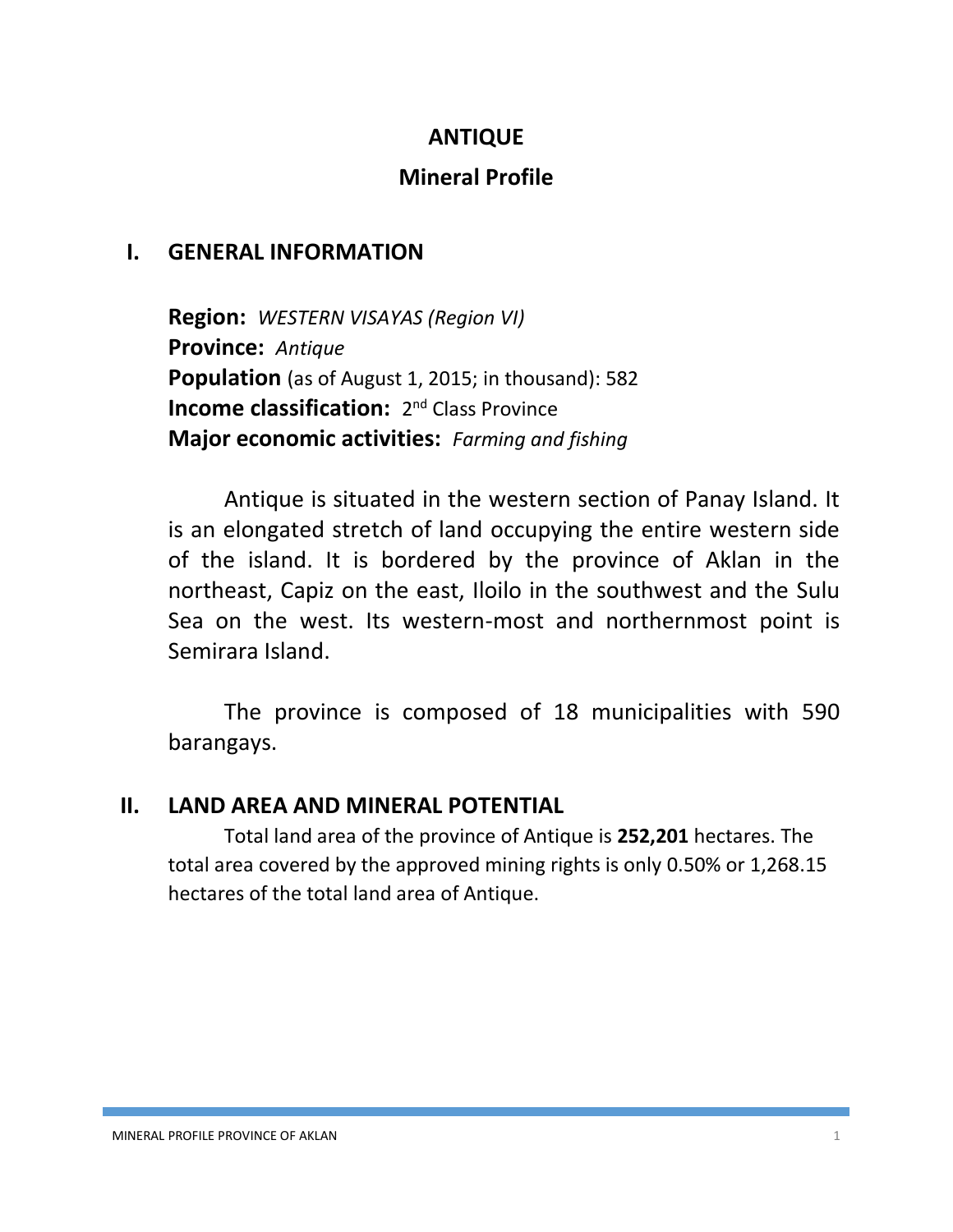## **ANTIQUE**

## **Mineral Profile**

## **I. GENERAL INFORMATION**

**Region:** *WESTERN VISAYAS (Region VI)* **Province:** *Antique* **Population** (as of August 1, 2015; in thousand): 582 **Income classification:** 2<sup>nd</sup> Class Province **Major economic activities:** *Farming and fishing*

Antique is situated in the western section of Panay Island. It is an elongated stretch of land occupying the entire western side of the island. It is bordered by the province of Aklan in the northeast, Capiz on the east, Iloilo in the southwest and the Sulu Sea on the west. Its western-most and northernmost point is Semirara Island.

The province is composed of 18 municipalities with 590 barangays.

### **II. LAND AREA AND MINERAL POTENTIAL**

Total land area of the province of Antique is **252,201** hectares. The total area covered by the approved mining rights is only 0.50% or 1,268.15 hectares of the total land area of Antique.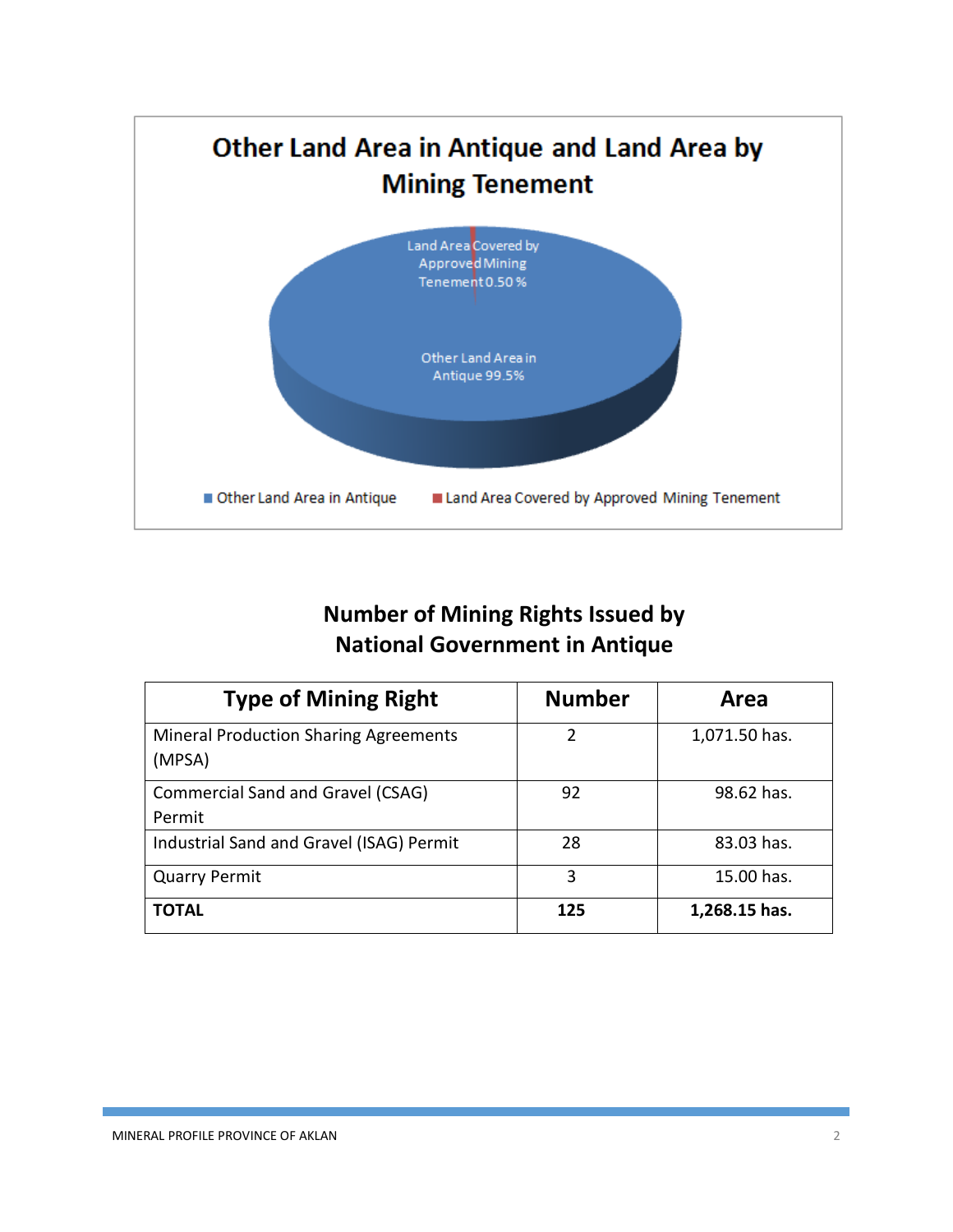

# **Number of Mining Rights Issued by National Government in Antique**

| <b>Type of Mining Right</b>                            | <b>Number</b> | Area          |
|--------------------------------------------------------|---------------|---------------|
| <b>Mineral Production Sharing Agreements</b><br>(MPSA) | 2             | 1,071.50 has. |
| <b>Commercial Sand and Gravel (CSAG)</b><br>Permit     | 92            | 98.62 has.    |
| Industrial Sand and Gravel (ISAG) Permit               | 28            | 83.03 has.    |
| <b>Quarry Permit</b>                                   | 3             | 15.00 has.    |
| <b>TOTAL</b>                                           | 125           | 1,268.15 has. |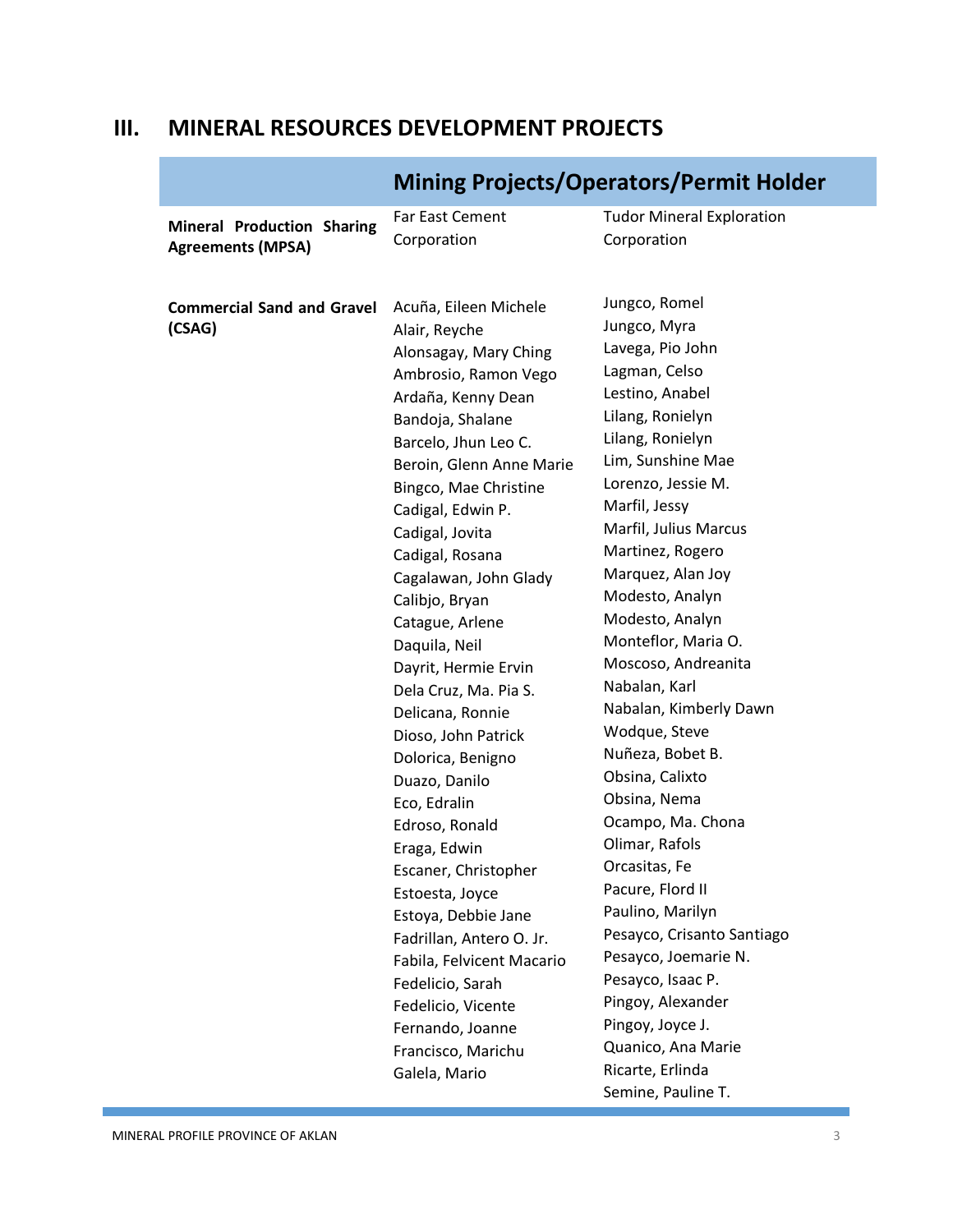## **III. MINERAL RESOURCES DEVELOPMENT PROJECTS**

|                                                               | <u>Milling Flujects/Operatury Ferrint Hold</u>                                                                                                                                                                                                                                                                                                                                                                                                                                                                                                                                                                                                                                                                    |                                                                                                                                                                                                                                                                                                                                                                                                                                                                                                                                                                                                                                                                    |
|---------------------------------------------------------------|-------------------------------------------------------------------------------------------------------------------------------------------------------------------------------------------------------------------------------------------------------------------------------------------------------------------------------------------------------------------------------------------------------------------------------------------------------------------------------------------------------------------------------------------------------------------------------------------------------------------------------------------------------------------------------------------------------------------|--------------------------------------------------------------------------------------------------------------------------------------------------------------------------------------------------------------------------------------------------------------------------------------------------------------------------------------------------------------------------------------------------------------------------------------------------------------------------------------------------------------------------------------------------------------------------------------------------------------------------------------------------------------------|
| <b>Mineral Production Sharing</b><br><b>Agreements (MPSA)</b> | Far East Cement<br>Corporation                                                                                                                                                                                                                                                                                                                                                                                                                                                                                                                                                                                                                                                                                    | <b>Tudor Mineral Exploration</b><br>Corporation                                                                                                                                                                                                                                                                                                                                                                                                                                                                                                                                                                                                                    |
| <b>Commercial Sand and Gravel</b><br>(CSAG)                   | Acuña, Eileen Michele<br>Alair, Reyche<br>Alonsagay, Mary Ching<br>Ambrosio, Ramon Vego<br>Ardaña, Kenny Dean<br>Bandoja, Shalane<br>Barcelo, Jhun Leo C.<br>Beroin, Glenn Anne Marie<br>Bingco, Mae Christine<br>Cadigal, Edwin P.<br>Cadigal, Jovita<br>Cadigal, Rosana<br>Cagalawan, John Glady<br>Calibjo, Bryan<br>Catague, Arlene<br>Daquila, Neil<br>Dayrit, Hermie Ervin<br>Dela Cruz, Ma. Pia S.<br>Delicana, Ronnie<br>Dioso, John Patrick<br>Dolorica, Benigno<br>Duazo, Danilo<br>Eco, Edralin<br>Edroso, Ronald<br>Eraga, Edwin<br>Escaner, Christopher<br>Estoesta, Joyce<br>Estoya, Debbie Jane<br>Fadrillan, Antero O. Jr.<br>Fabila, Felvicent Macario<br>Fedelicio, Sarah<br>Fedelicio, Vicente | Jungco, Romel<br>Jungco, Myra<br>Lavega, Pio John<br>Lagman, Celso<br>Lestino, Anabel<br>Lilang, Ronielyn<br>Lilang, Ronielyn<br>Lim, Sunshine Mae<br>Lorenzo, Jessie M.<br>Marfil, Jessy<br>Marfil, Julius Marcus<br>Martinez, Rogero<br>Marquez, Alan Joy<br>Modesto, Analyn<br>Modesto, Analyn<br>Monteflor, Maria O.<br>Moscoso, Andreanita<br>Nabalan, Karl<br>Nabalan, Kimberly Dawn<br>Wodque, Steve<br>Nuñeza, Bobet B.<br>Obsina, Calixto<br>Obsina, Nema<br>Ocampo, Ma. Chona<br>Olimar, Rafols<br>Orcasitas, Fe<br>Pacure, Flord II<br>Paulino, Marilyn<br>Pesayco, Crisanto Santiago<br>Pesayco, Joemarie N.<br>Pesayco, Isaac P.<br>Pingoy, Alexander |
|                                                               | Fernando, Joanne<br>Francisco, Marichu<br>Galela, Mario                                                                                                                                                                                                                                                                                                                                                                                                                                                                                                                                                                                                                                                           | Pingoy, Joyce J.<br>Quanico, Ana Marie<br>Ricarte, Erlinda<br>Semine, Pauline T.                                                                                                                                                                                                                                                                                                                                                                                                                                                                                                                                                                                   |

# **Mining Projects/Operators/Permit Holder**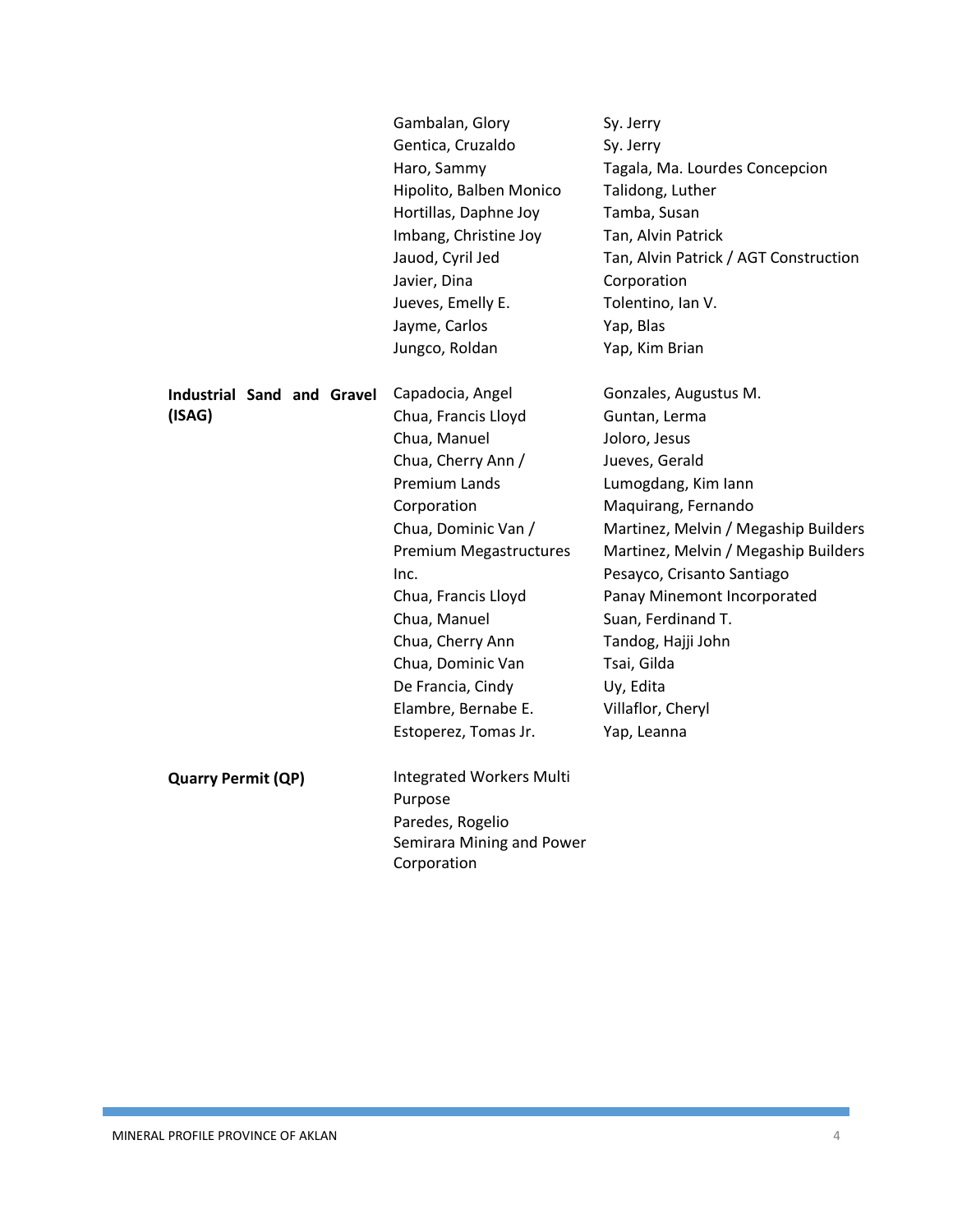|                                   | Gambalan, Glory           | Sy. Jerry                             |
|-----------------------------------|---------------------------|---------------------------------------|
|                                   | Gentica, Cruzaldo         | Sy. Jerry                             |
|                                   | Haro, Sammy               | Tagala, Ma. Lourdes Concepcion        |
|                                   | Hipolito, Balben Monico   | Talidong, Luther                      |
|                                   | Hortillas, Daphne Joy     | Tamba, Susan                          |
|                                   | Imbang, Christine Joy     | Tan, Alvin Patrick                    |
|                                   | Jauod, Cyril Jed          | Tan, Alvin Patrick / AGT Construction |
|                                   | Javier, Dina              | Corporation                           |
|                                   | Jueves, Emelly E.         | Tolentino, Ian V.                     |
|                                   | Jayme, Carlos             | Yap, Blas                             |
|                                   | Jungco, Roldan            | Yap, Kim Brian                        |
| <b>Industrial Sand and Gravel</b> | Capadocia, Angel          | Gonzales, Augustus M.                 |
| (ISAG)                            | Chua, Francis Lloyd       | Guntan, Lerma                         |
|                                   | Chua, Manuel              | Joloro, Jesus                         |
|                                   | Chua, Cherry Ann /        | Jueves, Gerald                        |
|                                   | Premium Lands             | Lumogdang, Kim lann                   |
|                                   | Corporation               | Maquirang, Fernando                   |
|                                   | Chua, Dominic Van /       | Martinez, Melvin / Megaship Builders  |
|                                   | Premium Megastructures    | Martinez, Melvin / Megaship Builders  |
|                                   | Inc.                      | Pesayco, Crisanto Santiago            |
|                                   | Chua, Francis Lloyd       | Panay Minemont Incorporated           |
|                                   | Chua, Manuel              | Suan, Ferdinand T.                    |
|                                   | Chua, Cherry Ann          | Tandog, Hajji John                    |
|                                   | Chua, Dominic Van         | Tsai, Gilda                           |
|                                   | De Francia, Cindy         | Uy, Edita                             |
|                                   | Elambre, Bernabe E.       | Villaflor, Cheryl                     |
|                                   | Estoperez, Tomas Jr.      | Yap, Leanna                           |
| <b>Quarry Permit (QP)</b>         | Integrated Workers Multi  |                                       |
|                                   | Purpose                   |                                       |
|                                   | Paredes, Rogelio          |                                       |
|                                   | Semirara Mining and Power |                                       |
|                                   | Corporation               |                                       |